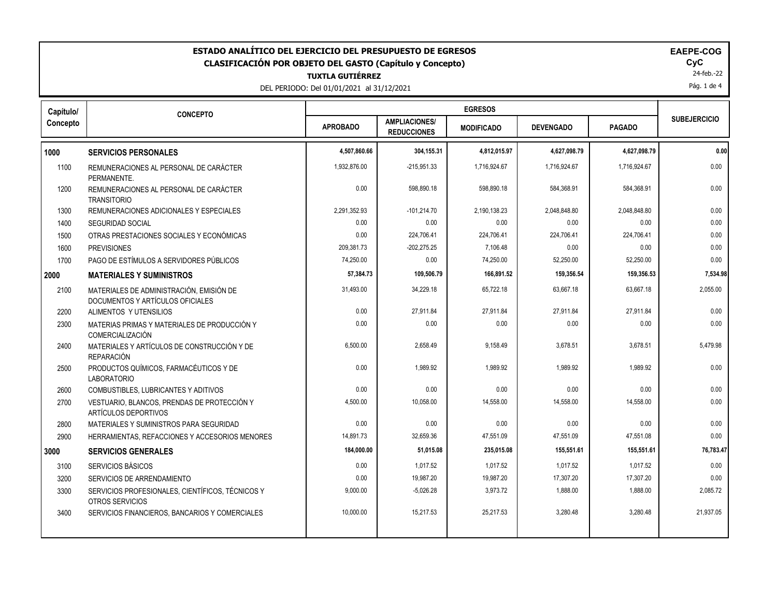| ESTADO ANALÍTICO DEL EJERCICIO DEL PRESUPUESTO DE EGRESOS<br><b>EAEPE-COG</b><br>CyC<br><b>CLASIFICACIÓN POR OBJETO DEL GASTO (Capítulo y Concepto)</b><br>24-feb.-22<br><b>TUXTLA GUTIÉRREZ</b><br>Pág. 1 de 4<br>DEL PERIODO: Del 01/01/2021 al 31/12/2021 |                                                                              |                 |                                            |                   |                  |               |                     |
|--------------------------------------------------------------------------------------------------------------------------------------------------------------------------------------------------------------------------------------------------------------|------------------------------------------------------------------------------|-----------------|--------------------------------------------|-------------------|------------------|---------------|---------------------|
| Capítulo/                                                                                                                                                                                                                                                    | <b>CONCEPTO</b>                                                              |                 |                                            | <b>EGRESOS</b>    |                  |               | <b>SUBEJERCICIO</b> |
| Concepto                                                                                                                                                                                                                                                     |                                                                              | <b>APROBADO</b> | <b>AMPLIACIONES/</b><br><b>REDUCCIONES</b> | <b>MODIFICADO</b> | <b>DEVENGADO</b> | <b>PAGADO</b> |                     |
| 1000                                                                                                                                                                                                                                                         | <b>SERVICIOS PERSONALES</b>                                                  | 4,507,860.66    | 304,155.31                                 | 4,812,015.97      | 4,627,098.79     | 4,627,098.79  | 0.00                |
| 1100                                                                                                                                                                                                                                                         | REMUNERACIONES AL PERSONAL DE CARÁCTER<br>PERMANENTE.                        | 1,932,876.00    | $-215,951.33$                              | 1.716.924.67      | 1.716.924.67     | 1,716,924.67  | 0.00                |
| 1200                                                                                                                                                                                                                                                         | REMUNERACIONES AL PERSONAL DE CARÁCTER<br><b>TRANSITORIO</b>                 | 0.00            | 598,890.18                                 | 598,890.18        | 584,368.91       | 584,368.91    | 0.00                |
| 1300                                                                                                                                                                                                                                                         | REMUNERACIONES ADICIONALES Y ESPECIALES                                      | 2,291,352.93    | $-101,214.70$                              | 2,190,138.23      | 2,048,848.80     | 2,048,848.80  | 0.00                |
| 1400                                                                                                                                                                                                                                                         | <b>SEGURIDAD SOCIAL</b>                                                      | 0.00            | 0.00                                       | 0.00              | 0.00             | 0.00          | 0.00                |
| 1500                                                                                                                                                                                                                                                         | OTRAS PRESTACIONES SOCIALES Y ECONÓMICAS                                     | 0.00            | 224,706.41                                 | 224,706.41        | 224,706.41       | 224,706.41    | 0.00                |
| 1600                                                                                                                                                                                                                                                         | <b>PREVISIONES</b>                                                           | 209.381.73      | -202,275.25                                | 7,106.48          | 0.00             | 0.00          | 0.00                |
| 1700                                                                                                                                                                                                                                                         | PAGO DE ESTÍMULOS A SERVIDORES PÚBLICOS                                      | 74,250.00       | 0.00                                       | 74,250.00         | 52,250.00        | 52,250.00     | 0.00                |
| 2000                                                                                                                                                                                                                                                         | <b>MATERIALES Y SUMINISTROS</b>                                              | 57,384.73       | 109,506.79                                 | 166,891.52        | 159,356.54       | 159,356.53    | 7,534.98            |
| 2100                                                                                                                                                                                                                                                         | MATERIALES DE ADMINISTRACIÓN. EMISIÓN DE<br>DOCUMENTOS Y ARTÍCULOS OFICIALES | 31,493.00       | 34,229.18                                  | 65,722.18         | 63,667.18        | 63,667.18     | 2,055.00            |
| 2200                                                                                                                                                                                                                                                         | ALIMENTOS Y UTENSILIOS                                                       | 0.00            | 27,911.84                                  | 27,911.84         | 27,911.84        | 27,911.84     | 0.00                |
| 2300                                                                                                                                                                                                                                                         | MATERIAS PRIMAS Y MATERIALES DE PRODUCCIÓN Y<br>COMERCIALIZACIÓN             | 0.00            | 0.00                                       | 0.00              | 0.00             | 0.00          | 0.00                |
| 2400                                                                                                                                                                                                                                                         | MATERIALES Y ARTÍCULOS DE CONSTRUCCIÓN Y DE<br><b>REPARACIÓN</b>             | 6,500.00        | 2,658.49                                   | 9,158.49          | 3,678.51         | 3,678.51      | 5,479.98            |
| 2500                                                                                                                                                                                                                                                         | PRODUCTOS QUÍMICOS, FARMACÉUTICOS Y DE<br><b>LABORATORIO</b>                 | 0.00            | 1.989.92                                   | 1,989.92          | 1,989.92         | 1.989.92      | 0.00                |
| 2600                                                                                                                                                                                                                                                         | COMBUSTIBLES, LUBRICANTES Y ADITIVOS                                         | 0.00            | 0.00                                       | 0.00              | 0.00             | 0.00          | 0.00                |
| 2700                                                                                                                                                                                                                                                         | VESTUARIO, BLANCOS, PRENDAS DE PROTECCIÓN Y<br>ARTÍCULOS DEPORTIVOS          | 4,500.00        | 10,058.00                                  | 14,558.00         | 14,558.00        | 14,558.00     | 0.00                |
| 2800                                                                                                                                                                                                                                                         | MATERIALES Y SUMINISTROS PARA SEGURIDAD                                      | 0.00            | 0.00                                       | 0.00              | 0.00             | 0.00          | 0.00                |
| 2900                                                                                                                                                                                                                                                         | HERRAMIENTAS, REFACCIONES Y ACCESORIOS MENORES                               | 14,891.73       | 32,659.36                                  | 47,551.09         | 47,551.09        | 47,551.08     | 0.00                |
| 3000                                                                                                                                                                                                                                                         | <b>SERVICIOS GENERALES</b>                                                   | 184,000.00      | 51,015.08                                  | 235,015.08        | 155,551.61       | 155,551.61    | 76,783.47           |
| 3100                                                                                                                                                                                                                                                         | SERVICIOS BÁSICOS                                                            | 0.00            | 1,017.52                                   | 1,017.52          | 1,017.52         | 1,017.52      | 0.00                |
| 3200                                                                                                                                                                                                                                                         | SERVICIOS DE ARRENDAMIENTO                                                   | 0.00            | 19,987.20                                  | 19,987.20         | 17,307.20        | 17,307.20     | 0.00                |
| 3300                                                                                                                                                                                                                                                         | SERVICIOS PROFESIONALES, CIENTÍFICOS, TÉCNICOS Y<br>OTROS SERVICIOS          | 9,000.00        | $-5,026.28$                                | 3,973.72          | 1,888.00         | 1,888.00      | 2,085.72            |
| 3400                                                                                                                                                                                                                                                         | SERVICIOS FINANCIEROS, BANCARIOS Y COMERCIALES                               | 10,000.00       | 15,217.53                                  | 25,217.53         | 3,280.48         | 3,280.48      | 21,937.05           |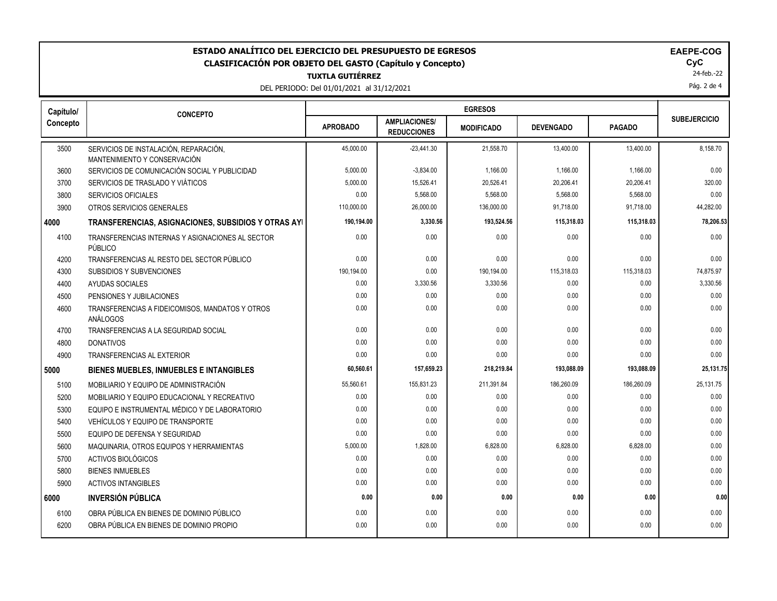| ESTADO ANALÍTICO DEL EJERCICIO DEL PRESUPUESTO DE EGRESOS<br><b>EAEPE-COG</b><br>CyC<br><b>CLASIFICACIÓN POR OBJETO DEL GASTO (Capítulo y Concepto)</b><br>24-feb.-22<br><b>TUXTLA GUTIÉRREZ</b><br>Pág. 2 de 4<br>DEL PERIODO: Del 01/01/2021 al 31/12/2021 |                                                                       |                 |                                            |                   |                  |               |                     |
|--------------------------------------------------------------------------------------------------------------------------------------------------------------------------------------------------------------------------------------------------------------|-----------------------------------------------------------------------|-----------------|--------------------------------------------|-------------------|------------------|---------------|---------------------|
| Capítulo/                                                                                                                                                                                                                                                    | <b>CONCEPTO</b>                                                       |                 |                                            |                   |                  |               |                     |
| Concepto                                                                                                                                                                                                                                                     |                                                                       | <b>APROBADO</b> | <b>AMPLIACIONES/</b><br><b>REDUCCIONES</b> | <b>MODIFICADO</b> | <b>DEVENGADO</b> | <b>PAGADO</b> | <b>SUBEJERCICIO</b> |
| 3500                                                                                                                                                                                                                                                         | SERVICIOS DE INSTALACIÓN, REPARACIÓN,<br>MANTENIMIENTO Y CONSERVACIÓN | 45.000.00       | $-23,441.30$                               | 21,558.70         | 13,400.00        | 13,400.00     | 8,158.70            |
| 3600                                                                                                                                                                                                                                                         | SERVICIOS DE COMUNICACIÓN SOCIAL Y PUBLICIDAD                         | 5,000.00        | $-3,834.00$                                | 1,166.00          | 1,166.00         | 1,166.00      | 0.00                |
| 3700                                                                                                                                                                                                                                                         | SERVICIOS DE TRASLADO Y VIÁTICOS                                      | 5,000.00        | 15,526.41                                  | 20,526.41         | 20,206.41        | 20,206.41     | 320.00              |
| 3800                                                                                                                                                                                                                                                         | <b>SERVICIOS OFICIALES</b>                                            | 0.00            | 5,568.00                                   | 5,568.00          | 5.568.00         | 5,568.00      | 0.00                |
| 3900                                                                                                                                                                                                                                                         | OTROS SERVICIOS GENERALES                                             | 110,000.00      | 26,000.00                                  | 136,000.00        | 91,718.00        | 91,718.00     | 44,282.00           |
| 4000                                                                                                                                                                                                                                                         | TRANSFERENCIAS, ASIGNACIONES, SUBSIDIOS Y OTRAS AYI                   | 190,194.00      | 3,330.56                                   | 193,524.56        | 115,318.03       | 115,318.03    | 78,206.53           |
| 4100                                                                                                                                                                                                                                                         | TRANSFERENCIAS INTERNAS Y ASIGNACIONES AL SECTOR<br>PÚBLICO           | 0.00            | 0.00                                       | 0.00              | 0.00             | 0.00          | 0.00                |
| 4200                                                                                                                                                                                                                                                         | TRANSFERENCIAS AL RESTO DEL SECTOR PÚBLICO                            | 0.00            | 0.00                                       | 0.00              | 0.00             | 0.00          | 0.00                |
| 4300                                                                                                                                                                                                                                                         | SUBSIDIOS Y SUBVENCIONES                                              | 190,194.00      | 0.00                                       | 190,194.00        | 115,318.03       | 115,318.03    | 74,875.97           |
| 4400                                                                                                                                                                                                                                                         | AYUDAS SOCIALES                                                       | 0.00            | 3,330.56                                   | 3,330.56          | 0.00             | 0.00          | 3,330.56            |
| 4500                                                                                                                                                                                                                                                         | PENSIONES Y JUBILACIONES                                              | 0.00            | 0.00                                       | 0.00              | 0.00             | 0.00          | 0.00                |
| 4600                                                                                                                                                                                                                                                         | TRANSFERENCIAS A FIDEICOMISOS, MANDATOS Y OTROS<br>ANÁLOGOS           | 0.00            | 0.00                                       | 0.00              | 0.00             | 0.00          | 0.00                |
| 4700                                                                                                                                                                                                                                                         | TRANSFERENCIAS A LA SEGURIDAD SOCIAL                                  | 0.00            | 0.00                                       | 0.00              | 0.00             | 0.00          | 0.00                |
| 4800                                                                                                                                                                                                                                                         | <b>DONATIVOS</b>                                                      | 0.00            | 0.00                                       | 0.00              | 0.00             | 0.00          | 0.00                |
| 4900                                                                                                                                                                                                                                                         | TRANSFERENCIAS AL EXTERIOR                                            | 0.00            | 0.00                                       | 0.00              | 0.00             | 0.00          | 0.00                |
| 5000                                                                                                                                                                                                                                                         | <b>BIENES MUEBLES, INMUEBLES E INTANGIBLES</b>                        | 60,560.61       | 157,659.23                                 | 218,219.84        | 193,088.09       | 193,088.09    | 25,131.75           |
| 5100                                                                                                                                                                                                                                                         | MOBILIARIO Y EQUIPO DE ADMINISTRACIÓN                                 | 55,560.61       | 155,831.23                                 | 211,391.84        | 186,260.09       | 186,260.09    | 25,131.75           |
| 5200                                                                                                                                                                                                                                                         | MOBILIARIO Y EQUIPO EDUCACIONAL Y RECREATIVO                          | 0.00            | 0.00                                       | 0.00              | 0.00             | 0.00          | 0.00                |
| 5300                                                                                                                                                                                                                                                         | EQUIPO E INSTRUMENTAL MÉDICO Y DE LABORATORIO                         | 0.00            | 0.00                                       | 0.00              | 0.00             | 0.00          | 0.00                |
| 5400                                                                                                                                                                                                                                                         | VEHÍCULOS Y EQUIPO DE TRANSPORTE                                      | 0.00            | 0.00                                       | 0.00              | 0.00             | 0.00          | 0.00                |
| 5500                                                                                                                                                                                                                                                         | EQUIPO DE DEFENSA Y SEGURIDAD                                         | 0.00            | 0.00                                       | 0.00              | 0.00             | 0.00          | 0.00                |
| 5600                                                                                                                                                                                                                                                         | MAQUINARIA, OTROS EQUIPOS Y HERRAMIENTAS                              | 5,000.00        | 1,828.00                                   | 6,828.00          | 6,828.00         | 6,828.00      | 0.00                |
| 5700                                                                                                                                                                                                                                                         | ACTIVOS BIOLÓGICOS                                                    | 0.00            | 0.00                                       | 0.00              | 0.00             | 0.00          | 0.00                |
| 5800                                                                                                                                                                                                                                                         | <b>BIENES INMUEBLES</b>                                               | 0.00            | 0.00                                       | 0.00              | 0.00             | 0.00          | 0.00                |
| 5900                                                                                                                                                                                                                                                         | <b>ACTIVOS INTANGIBLES</b>                                            | 0.00            | 0.00                                       | 0.00              | 0.00             | 0.00          | 0.00                |
| 6000                                                                                                                                                                                                                                                         | <b>INVERSIÓN PÚBLICA</b>                                              | 0.00            | 0.00                                       | 0.00              | 0.00             | 0.00          | 0.00                |
| 6100                                                                                                                                                                                                                                                         | OBRA PÚBLICA EN BIENES DE DOMINIO PÚBLICO                             | 0.00            | 0.00                                       | 0.00              | 0.00             | 0.00          | 0.00                |
| 6200                                                                                                                                                                                                                                                         | OBRA PÚBLICA EN BIENES DE DOMINIO PROPIO                              | 0.00            | 0.00                                       | 0.00              | 0.00             | 0.00          | 0.00                |
|                                                                                                                                                                                                                                                              |                                                                       |                 |                                            |                   |                  |               |                     |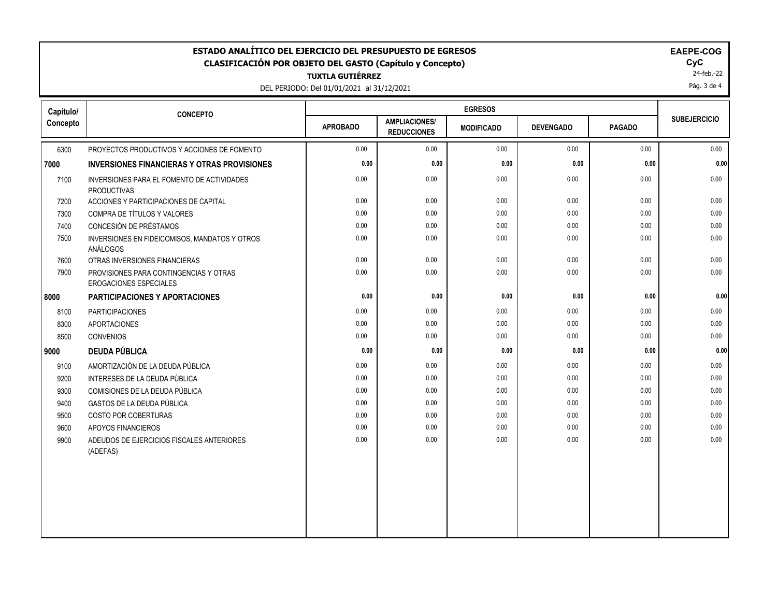| <b>EGRESOS</b><br>Capítulo/<br><b>CONCEPTO</b><br><b>SUBEJERCICIO</b><br><b>AMPLIACIONES/</b><br><b>APROBADO</b><br><b>DEVENGADO</b><br><b>PAGADO</b><br><b>MODIFICADO</b><br><b>REDUCCIONES</b><br>0.00<br>0.00<br>0.00<br>0.00<br>0.00<br>6300<br>PROYECTOS PRODUCTIVOS Y ACCIONES DE FOMENTO<br>0.00<br>0.00<br>0.00<br>0.00<br>0.00<br><b>INVERSIONES FINANCIERAS Y OTRAS PROVISIONES</b><br>0.00<br>0.00<br>0.00<br>0.00<br>0.00<br>7100<br>INVERSIONES PARA EL FOMENTO DE ACTIVIDADES<br><b>PRODUCTIVAS</b><br>0.00<br>0.00<br>0.00<br>0.00<br>7200<br>ACCIONES Y PARTICIPACIONES DE CAPITAL<br>0.00<br>0.00<br>0.00<br>0.00<br>COMPRA DE TÍTULOS Y VALORES<br>0.00<br>0.00<br>7300<br>CONCESIÓN DE PRÉSTAMOS<br>0.00<br>7400<br>0.00<br>0.00<br>0.00<br>0.00<br>0.00<br>0.00<br>0.00<br>0.00<br>0.00<br>7500<br>INVERSIONES EN FIDEICOMISOS, MANDATOS Y OTROS<br>ANÁLOGOS<br>0.00<br>0.00<br>0.00<br>0.00<br>0.00<br>7600<br>OTRAS INVERSIONES FINANCIERAS<br>0.00<br>0.00<br>0.00<br>0.00<br>0.00<br>7900<br>PROVISIONES PARA CONTINGENCIAS Y OTRAS<br>EROGACIONES ESPECIALES<br>0.00<br>0.00<br>0.00<br>0.00<br>0.00<br><b>PARTICIPACIONES Y APORTACIONES</b><br>0.00<br>0.00<br>0.00<br><b>PARTICIPACIONES</b><br>0.00<br>0.00<br>8100<br>0.00<br>8300<br><b>APORTACIONES</b><br>0.00<br>0.00<br>0.00<br>0.00<br>0.00<br>0.00<br>0.00<br>0.00<br>0.00<br>8500<br><b>CONVENIOS</b><br><b>DEUDA PÚBLICA</b><br>0.00<br>0.00<br>0.00<br>0.00<br>0.00<br>9000<br>AMORTIZACIÓN DE LA DEUDA PÚBLICA<br>0.00<br>0.00<br>0.00<br>0.00<br>0.00<br>9100<br>9200<br>INTERESES DE LA DEUDA PÚBLICA<br>0.00<br>0.00<br>0.00<br>0.00<br>0.00<br>0.00<br>0.00<br>0.00<br>0.00<br>0.00<br>COMISIONES DE LA DEUDA PÚBLICA<br>9300<br>0.00<br>0.00<br>GASTOS DE LA DEUDA PÚBLICA<br>0.00<br>0.00<br>0.00<br>9400<br>9500<br>COSTO POR COBERTURAS<br>0.00<br>0.00<br>0.00<br>0.00<br>0.00<br>0.00<br>0.00<br>0.00<br>0.00<br>0.00<br>9600<br>APOYOS FINANCIEROS<br>0.00<br>0.00<br>0.00<br>0.00<br>0.00<br>9900<br>ADEUDOS DE EJERCICIOS FISCALES ANTERIORES | ESTADO ANALÍTICO DEL EJERCICIO DEL PRESUPUESTO DE EGRESOS<br>EAEPE-COG<br>CyC<br><b>CLASIFICACIÓN POR OBJETO DEL GASTO (Capítulo y Concepto)</b><br>24-feb.-22<br><b>TUXTLA GUTIÉRREZ</b><br>Pág. 3 de 4<br>DEL PERIODO: Del 01/01/2021 al 31/12/2021 |          |  |  |  |  |  |      |
|-----------------------------------------------------------------------------------------------------------------------------------------------------------------------------------------------------------------------------------------------------------------------------------------------------------------------------------------------------------------------------------------------------------------------------------------------------------------------------------------------------------------------------------------------------------------------------------------------------------------------------------------------------------------------------------------------------------------------------------------------------------------------------------------------------------------------------------------------------------------------------------------------------------------------------------------------------------------------------------------------------------------------------------------------------------------------------------------------------------------------------------------------------------------------------------------------------------------------------------------------------------------------------------------------------------------------------------------------------------------------------------------------------------------------------------------------------------------------------------------------------------------------------------------------------------------------------------------------------------------------------------------------------------------------------------------------------------------------------------------------------------------------------------------------------------------------------------------------------------------------------------------------------------------------------------------------------------------------------------------------------------------------------------------------------|-------------------------------------------------------------------------------------------------------------------------------------------------------------------------------------------------------------------------------------------------------|----------|--|--|--|--|--|------|
|                                                                                                                                                                                                                                                                                                                                                                                                                                                                                                                                                                                                                                                                                                                                                                                                                                                                                                                                                                                                                                                                                                                                                                                                                                                                                                                                                                                                                                                                                                                                                                                                                                                                                                                                                                                                                                                                                                                                                                                                                                                     |                                                                                                                                                                                                                                                       |          |  |  |  |  |  |      |
|                                                                                                                                                                                                                                                                                                                                                                                                                                                                                                                                                                                                                                                                                                                                                                                                                                                                                                                                                                                                                                                                                                                                                                                                                                                                                                                                                                                                                                                                                                                                                                                                                                                                                                                                                                                                                                                                                                                                                                                                                                                     | Concepto                                                                                                                                                                                                                                              |          |  |  |  |  |  |      |
|                                                                                                                                                                                                                                                                                                                                                                                                                                                                                                                                                                                                                                                                                                                                                                                                                                                                                                                                                                                                                                                                                                                                                                                                                                                                                                                                                                                                                                                                                                                                                                                                                                                                                                                                                                                                                                                                                                                                                                                                                                                     |                                                                                                                                                                                                                                                       |          |  |  |  |  |  | 0.00 |
|                                                                                                                                                                                                                                                                                                                                                                                                                                                                                                                                                                                                                                                                                                                                                                                                                                                                                                                                                                                                                                                                                                                                                                                                                                                                                                                                                                                                                                                                                                                                                                                                                                                                                                                                                                                                                                                                                                                                                                                                                                                     | 7000                                                                                                                                                                                                                                                  |          |  |  |  |  |  | 0.00 |
|                                                                                                                                                                                                                                                                                                                                                                                                                                                                                                                                                                                                                                                                                                                                                                                                                                                                                                                                                                                                                                                                                                                                                                                                                                                                                                                                                                                                                                                                                                                                                                                                                                                                                                                                                                                                                                                                                                                                                                                                                                                     |                                                                                                                                                                                                                                                       |          |  |  |  |  |  | 0.00 |
|                                                                                                                                                                                                                                                                                                                                                                                                                                                                                                                                                                                                                                                                                                                                                                                                                                                                                                                                                                                                                                                                                                                                                                                                                                                                                                                                                                                                                                                                                                                                                                                                                                                                                                                                                                                                                                                                                                                                                                                                                                                     |                                                                                                                                                                                                                                                       |          |  |  |  |  |  | 0.00 |
|                                                                                                                                                                                                                                                                                                                                                                                                                                                                                                                                                                                                                                                                                                                                                                                                                                                                                                                                                                                                                                                                                                                                                                                                                                                                                                                                                                                                                                                                                                                                                                                                                                                                                                                                                                                                                                                                                                                                                                                                                                                     |                                                                                                                                                                                                                                                       |          |  |  |  |  |  | 0.00 |
|                                                                                                                                                                                                                                                                                                                                                                                                                                                                                                                                                                                                                                                                                                                                                                                                                                                                                                                                                                                                                                                                                                                                                                                                                                                                                                                                                                                                                                                                                                                                                                                                                                                                                                                                                                                                                                                                                                                                                                                                                                                     |                                                                                                                                                                                                                                                       |          |  |  |  |  |  | 0.00 |
|                                                                                                                                                                                                                                                                                                                                                                                                                                                                                                                                                                                                                                                                                                                                                                                                                                                                                                                                                                                                                                                                                                                                                                                                                                                                                                                                                                                                                                                                                                                                                                                                                                                                                                                                                                                                                                                                                                                                                                                                                                                     |                                                                                                                                                                                                                                                       |          |  |  |  |  |  | 0.00 |
|                                                                                                                                                                                                                                                                                                                                                                                                                                                                                                                                                                                                                                                                                                                                                                                                                                                                                                                                                                                                                                                                                                                                                                                                                                                                                                                                                                                                                                                                                                                                                                                                                                                                                                                                                                                                                                                                                                                                                                                                                                                     |                                                                                                                                                                                                                                                       |          |  |  |  |  |  | 0.00 |
|                                                                                                                                                                                                                                                                                                                                                                                                                                                                                                                                                                                                                                                                                                                                                                                                                                                                                                                                                                                                                                                                                                                                                                                                                                                                                                                                                                                                                                                                                                                                                                                                                                                                                                                                                                                                                                                                                                                                                                                                                                                     |                                                                                                                                                                                                                                                       |          |  |  |  |  |  | 0.00 |
|                                                                                                                                                                                                                                                                                                                                                                                                                                                                                                                                                                                                                                                                                                                                                                                                                                                                                                                                                                                                                                                                                                                                                                                                                                                                                                                                                                                                                                                                                                                                                                                                                                                                                                                                                                                                                                                                                                                                                                                                                                                     | 8000                                                                                                                                                                                                                                                  |          |  |  |  |  |  | 0.00 |
|                                                                                                                                                                                                                                                                                                                                                                                                                                                                                                                                                                                                                                                                                                                                                                                                                                                                                                                                                                                                                                                                                                                                                                                                                                                                                                                                                                                                                                                                                                                                                                                                                                                                                                                                                                                                                                                                                                                                                                                                                                                     |                                                                                                                                                                                                                                                       |          |  |  |  |  |  | 0.00 |
|                                                                                                                                                                                                                                                                                                                                                                                                                                                                                                                                                                                                                                                                                                                                                                                                                                                                                                                                                                                                                                                                                                                                                                                                                                                                                                                                                                                                                                                                                                                                                                                                                                                                                                                                                                                                                                                                                                                                                                                                                                                     |                                                                                                                                                                                                                                                       |          |  |  |  |  |  | 0.00 |
|                                                                                                                                                                                                                                                                                                                                                                                                                                                                                                                                                                                                                                                                                                                                                                                                                                                                                                                                                                                                                                                                                                                                                                                                                                                                                                                                                                                                                                                                                                                                                                                                                                                                                                                                                                                                                                                                                                                                                                                                                                                     |                                                                                                                                                                                                                                                       |          |  |  |  |  |  | 0.00 |
|                                                                                                                                                                                                                                                                                                                                                                                                                                                                                                                                                                                                                                                                                                                                                                                                                                                                                                                                                                                                                                                                                                                                                                                                                                                                                                                                                                                                                                                                                                                                                                                                                                                                                                                                                                                                                                                                                                                                                                                                                                                     |                                                                                                                                                                                                                                                       |          |  |  |  |  |  | 0.00 |
|                                                                                                                                                                                                                                                                                                                                                                                                                                                                                                                                                                                                                                                                                                                                                                                                                                                                                                                                                                                                                                                                                                                                                                                                                                                                                                                                                                                                                                                                                                                                                                                                                                                                                                                                                                                                                                                                                                                                                                                                                                                     |                                                                                                                                                                                                                                                       |          |  |  |  |  |  | 0.00 |
|                                                                                                                                                                                                                                                                                                                                                                                                                                                                                                                                                                                                                                                                                                                                                                                                                                                                                                                                                                                                                                                                                                                                                                                                                                                                                                                                                                                                                                                                                                                                                                                                                                                                                                                                                                                                                                                                                                                                                                                                                                                     |                                                                                                                                                                                                                                                       |          |  |  |  |  |  | 0.00 |
|                                                                                                                                                                                                                                                                                                                                                                                                                                                                                                                                                                                                                                                                                                                                                                                                                                                                                                                                                                                                                                                                                                                                                                                                                                                                                                                                                                                                                                                                                                                                                                                                                                                                                                                                                                                                                                                                                                                                                                                                                                                     |                                                                                                                                                                                                                                                       |          |  |  |  |  |  | 0.00 |
|                                                                                                                                                                                                                                                                                                                                                                                                                                                                                                                                                                                                                                                                                                                                                                                                                                                                                                                                                                                                                                                                                                                                                                                                                                                                                                                                                                                                                                                                                                                                                                                                                                                                                                                                                                                                                                                                                                                                                                                                                                                     |                                                                                                                                                                                                                                                       |          |  |  |  |  |  | 0.00 |
|                                                                                                                                                                                                                                                                                                                                                                                                                                                                                                                                                                                                                                                                                                                                                                                                                                                                                                                                                                                                                                                                                                                                                                                                                                                                                                                                                                                                                                                                                                                                                                                                                                                                                                                                                                                                                                                                                                                                                                                                                                                     |                                                                                                                                                                                                                                                       |          |  |  |  |  |  | 0.00 |
|                                                                                                                                                                                                                                                                                                                                                                                                                                                                                                                                                                                                                                                                                                                                                                                                                                                                                                                                                                                                                                                                                                                                                                                                                                                                                                                                                                                                                                                                                                                                                                                                                                                                                                                                                                                                                                                                                                                                                                                                                                                     |                                                                                                                                                                                                                                                       |          |  |  |  |  |  | 0.00 |
|                                                                                                                                                                                                                                                                                                                                                                                                                                                                                                                                                                                                                                                                                                                                                                                                                                                                                                                                                                                                                                                                                                                                                                                                                                                                                                                                                                                                                                                                                                                                                                                                                                                                                                                                                                                                                                                                                                                                                                                                                                                     |                                                                                                                                                                                                                                                       | (ADEFAS) |  |  |  |  |  | 0.00 |